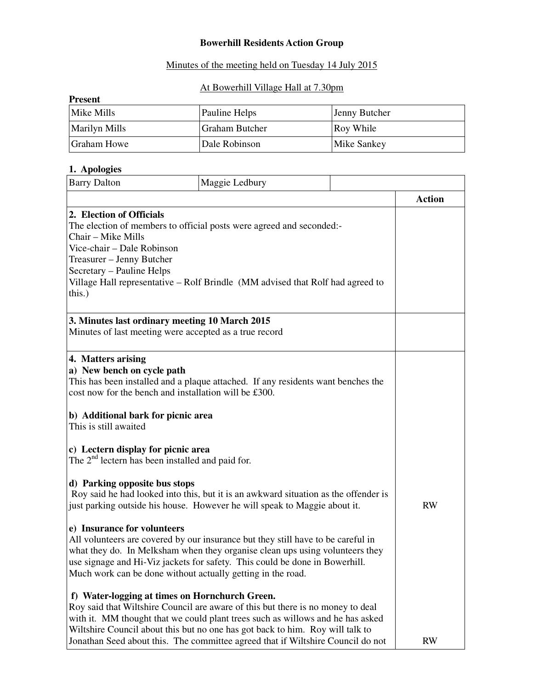### **Bowerhill Residents Action Group**

## Minutes of the meeting held on Tuesday 14 July 2015

#### At Bowerhill Village Hall at 7.30pm

| <b>Present</b>       |                       |                    |  |  |
|----------------------|-----------------------|--------------------|--|--|
| Mike Mills           | Pauline Helps         | Jenny Butcher      |  |  |
| <b>Marilyn Mills</b> | <b>Graham Butcher</b> | Roy While          |  |  |
| Graham Howe          | Dale Robinson         | <b>Mike Sankey</b> |  |  |

## **1. Apologies**

| <b>Barry Dalton</b>                                                                                                                                                                               | Maggie Ledbury                                                                                                                                                                                                                                                                                                                        |               |  |
|---------------------------------------------------------------------------------------------------------------------------------------------------------------------------------------------------|---------------------------------------------------------------------------------------------------------------------------------------------------------------------------------------------------------------------------------------------------------------------------------------------------------------------------------------|---------------|--|
|                                                                                                                                                                                                   |                                                                                                                                                                                                                                                                                                                                       | <b>Action</b> |  |
| 2. Election of Officials<br>Chair – Mike Mills<br>Vice-chair - Dale Robinson<br>Treasurer - Jenny Butcher<br>Secretary - Pauline Helps<br>this.)                                                  | The election of members to official posts were agreed and seconded:-<br>Village Hall representative - Rolf Brindle (MM advised that Rolf had agreed to                                                                                                                                                                                |               |  |
| 3. Minutes last ordinary meeting 10 March 2015<br>Minutes of last meeting were accepted as a true record                                                                                          |                                                                                                                                                                                                                                                                                                                                       |               |  |
| 4. Matters arising<br>a) New bench on cycle path<br>cost now for the bench and installation will be £300.<br>b) Additional bark for picnic area<br>This is still awaited                          | This has been installed and a plaque attached. If any residents want benches the                                                                                                                                                                                                                                                      |               |  |
| c) Lectern display for picnic area<br>The 2 <sup>nd</sup> lectern has been installed and paid for.                                                                                                |                                                                                                                                                                                                                                                                                                                                       |               |  |
| d) Parking opposite bus stops<br>Roy said he had looked into this, but it is an awkward situation as the offender is<br>just parking outside his house. However he will speak to Maggie about it. | <b>RW</b>                                                                                                                                                                                                                                                                                                                             |               |  |
| e) Insurance for volunteers<br>Much work can be done without actually getting in the road.                                                                                                        | All volunteers are covered by our insurance but they still have to be careful in<br>what they do. In Melksham when they organise clean ups using volunteers they<br>use signage and Hi-Viz jackets for safety. This could be done in Bowerhill.                                                                                       |               |  |
| f) Water-logging at times on Hornchurch Green.                                                                                                                                                    | Roy said that Wiltshire Council are aware of this but there is no money to deal<br>with it. MM thought that we could plant trees such as willows and he has asked<br>Wiltshire Council about this but no one has got back to him. Roy will talk to<br>Jonathan Seed about this. The committee agreed that if Wiltshire Council do not | <b>RW</b>     |  |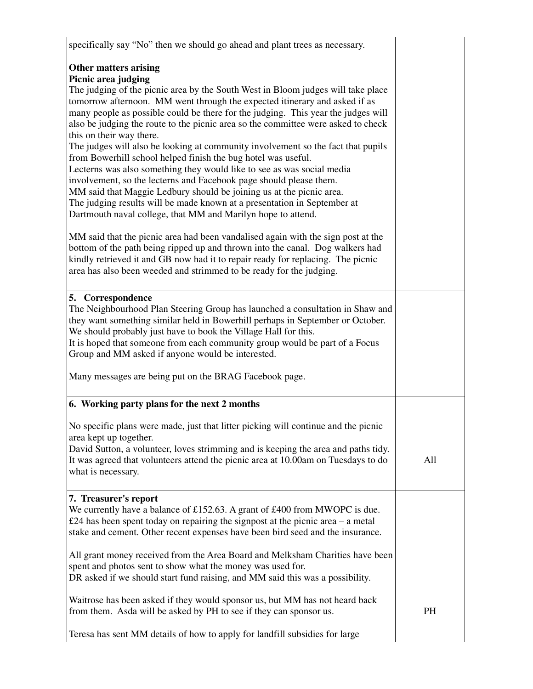| specifically say "No" then we should go ahead and plant trees as necessary.                                                                                                                                                                                                                                                                                                                                                                                                                                                                                                                                                                                                                                                                                                                                                                                                                                                                          |     |
|------------------------------------------------------------------------------------------------------------------------------------------------------------------------------------------------------------------------------------------------------------------------------------------------------------------------------------------------------------------------------------------------------------------------------------------------------------------------------------------------------------------------------------------------------------------------------------------------------------------------------------------------------------------------------------------------------------------------------------------------------------------------------------------------------------------------------------------------------------------------------------------------------------------------------------------------------|-----|
| <b>Other matters arising</b><br>Picnic area judging<br>The judging of the picnic area by the South West in Bloom judges will take place<br>tomorrow afternoon. MM went through the expected itinerary and asked if as<br>many people as possible could be there for the judging. This year the judges will<br>also be judging the route to the picnic area so the committee were asked to check<br>this on their way there.<br>The judges will also be looking at community involvement so the fact that pupils<br>from Bowerhill school helped finish the bug hotel was useful.<br>Lecterns was also something they would like to see as was social media<br>involvement, so the lecterns and Facebook page should please them.<br>MM said that Maggie Ledbury should be joining us at the picnic area.<br>The judging results will be made known at a presentation in September at<br>Dartmouth naval college, that MM and Marilyn hope to attend. |     |
| MM said that the picnic area had been vandalised again with the sign post at the<br>bottom of the path being ripped up and thrown into the canal. Dog walkers had<br>kindly retrieved it and GB now had it to repair ready for replacing. The picnic<br>area has also been weeded and strimmed to be ready for the judging.                                                                                                                                                                                                                                                                                                                                                                                                                                                                                                                                                                                                                          |     |
| 5. Correspondence<br>The Neighbourhood Plan Steering Group has launched a consultation in Shaw and<br>they want something similar held in Bowerhill perhaps in September or October.<br>We should probably just have to book the Village Hall for this.<br>It is hoped that someone from each community group would be part of a Focus<br>Group and MM asked if anyone would be interested.                                                                                                                                                                                                                                                                                                                                                                                                                                                                                                                                                          |     |
| Many messages are being put on the BRAG Facebook page.                                                                                                                                                                                                                                                                                                                                                                                                                                                                                                                                                                                                                                                                                                                                                                                                                                                                                               |     |
| 6. Working party plans for the next 2 months                                                                                                                                                                                                                                                                                                                                                                                                                                                                                                                                                                                                                                                                                                                                                                                                                                                                                                         |     |
| No specific plans were made, just that litter picking will continue and the picnic<br>area kept up together.<br>David Sutton, a volunteer, loves strimming and is keeping the area and paths tidy.<br>It was agreed that volunteers attend the picnic area at 10.00am on Tuesdays to do<br>what is necessary.                                                                                                                                                                                                                                                                                                                                                                                                                                                                                                                                                                                                                                        | All |
|                                                                                                                                                                                                                                                                                                                                                                                                                                                                                                                                                                                                                                                                                                                                                                                                                                                                                                                                                      |     |
| 7. Treasurer's report<br>We currently have a balance of £152.63. A grant of £400 from MWOPC is due.<br>£24 has been spent today on repairing the signpost at the picnic area $-$ a metal<br>stake and cement. Other recent expenses have been bird seed and the insurance.                                                                                                                                                                                                                                                                                                                                                                                                                                                                                                                                                                                                                                                                           |     |
| All grant money received from the Area Board and Melksham Charities have been<br>spent and photos sent to show what the money was used for.<br>DR asked if we should start fund raising, and MM said this was a possibility.                                                                                                                                                                                                                                                                                                                                                                                                                                                                                                                                                                                                                                                                                                                         |     |
| Waitrose has been asked if they would sponsor us, but MM has not heard back<br>from them. Asda will be asked by PH to see if they can sponsor us.                                                                                                                                                                                                                                                                                                                                                                                                                                                                                                                                                                                                                                                                                                                                                                                                    | PH  |
| Teresa has sent MM details of how to apply for landfill subsidies for large                                                                                                                                                                                                                                                                                                                                                                                                                                                                                                                                                                                                                                                                                                                                                                                                                                                                          |     |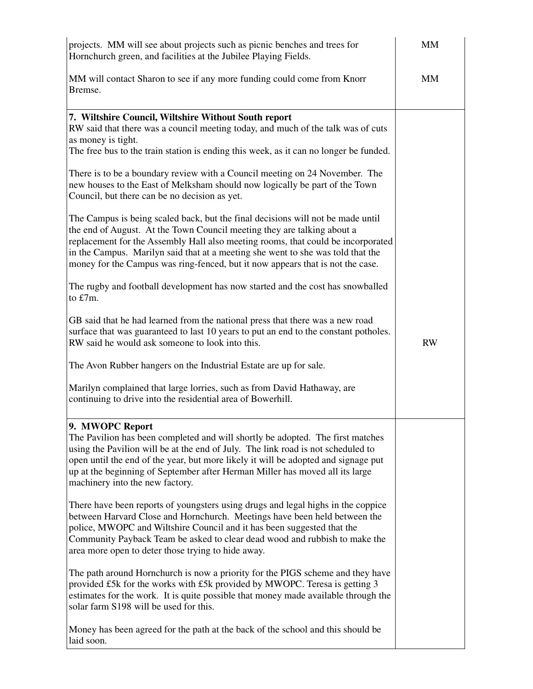| projects. MM will see about projects such as picnic benches and trees for<br>Hornchurch green, and facilities at the Jubilee Playing Fields.                                                                                                                                                                                                                                                                                                                           | <b>MM</b> |
|------------------------------------------------------------------------------------------------------------------------------------------------------------------------------------------------------------------------------------------------------------------------------------------------------------------------------------------------------------------------------------------------------------------------------------------------------------------------|-----------|
| MM will contact Sharon to see if any more funding could come from Knorr<br>Bremse.                                                                                                                                                                                                                                                                                                                                                                                     | MM        |
| 7. Wiltshire Council, Wiltshire Without South report<br>RW said that there was a council meeting today, and much of the talk was of cuts<br>as money is tight.<br>The free bus to the train station is ending this week, as it can no longer be funded.<br>There is to be a boundary review with a Council meeting on 24 November. The<br>new houses to the East of Melksham should now logically be part of the Town<br>Council, but there can be no decision as yet. |           |
| The Campus is being scaled back, but the final decisions will not be made until<br>the end of August. At the Town Council meeting they are talking about a<br>replacement for the Assembly Hall also meeting rooms, that could be incorporated<br>in the Campus. Marilyn said that at a meeting she went to she was told that the<br>money for the Campus was ring-fenced, but it now appears that is not the case.                                                    |           |
| The rugby and football development has now started and the cost has snowballed<br>to £7m.                                                                                                                                                                                                                                                                                                                                                                              |           |
| GB said that he had learned from the national press that there was a new road<br>surface that was guaranteed to last 10 years to put an end to the constant potholes.<br>RW said he would ask someone to look into this.                                                                                                                                                                                                                                               | <b>RW</b> |
| The Avon Rubber hangers on the Industrial Estate are up for sale.                                                                                                                                                                                                                                                                                                                                                                                                      |           |
| Marilyn complained that large lorries, such as from David Hathaway, are<br>continuing to drive into the residential area of Bowerhill.                                                                                                                                                                                                                                                                                                                                 |           |
| 9. MWOPC Report<br>The Pavilion has been completed and will shortly be adopted. The first matches<br>using the Pavilion will be at the end of July. The link road is not scheduled to<br>open until the end of the year, but more likely it will be adopted and signage put<br>up at the beginning of September after Herman Miller has moved all its large<br>machinery into the new factory.                                                                         |           |
| There have been reports of youngsters using drugs and legal highs in the coppice<br>between Harvard Close and Hornchurch. Meetings have been held between the<br>police, MWOPC and Wiltshire Council and it has been suggested that the<br>Community Payback Team be asked to clear dead wood and rubbish to make the<br>area more open to deter those trying to hide away.                                                                                            |           |
| The path around Hornchurch is now a priority for the PIGS scheme and they have<br>provided £5k for the works with £5k provided by MWOPC. Teresa is getting 3<br>estimates for the work. It is quite possible that money made available through the<br>solar farm S198 will be used for this.                                                                                                                                                                           |           |
| Money has been agreed for the path at the back of the school and this should be<br>laid soon.                                                                                                                                                                                                                                                                                                                                                                          |           |